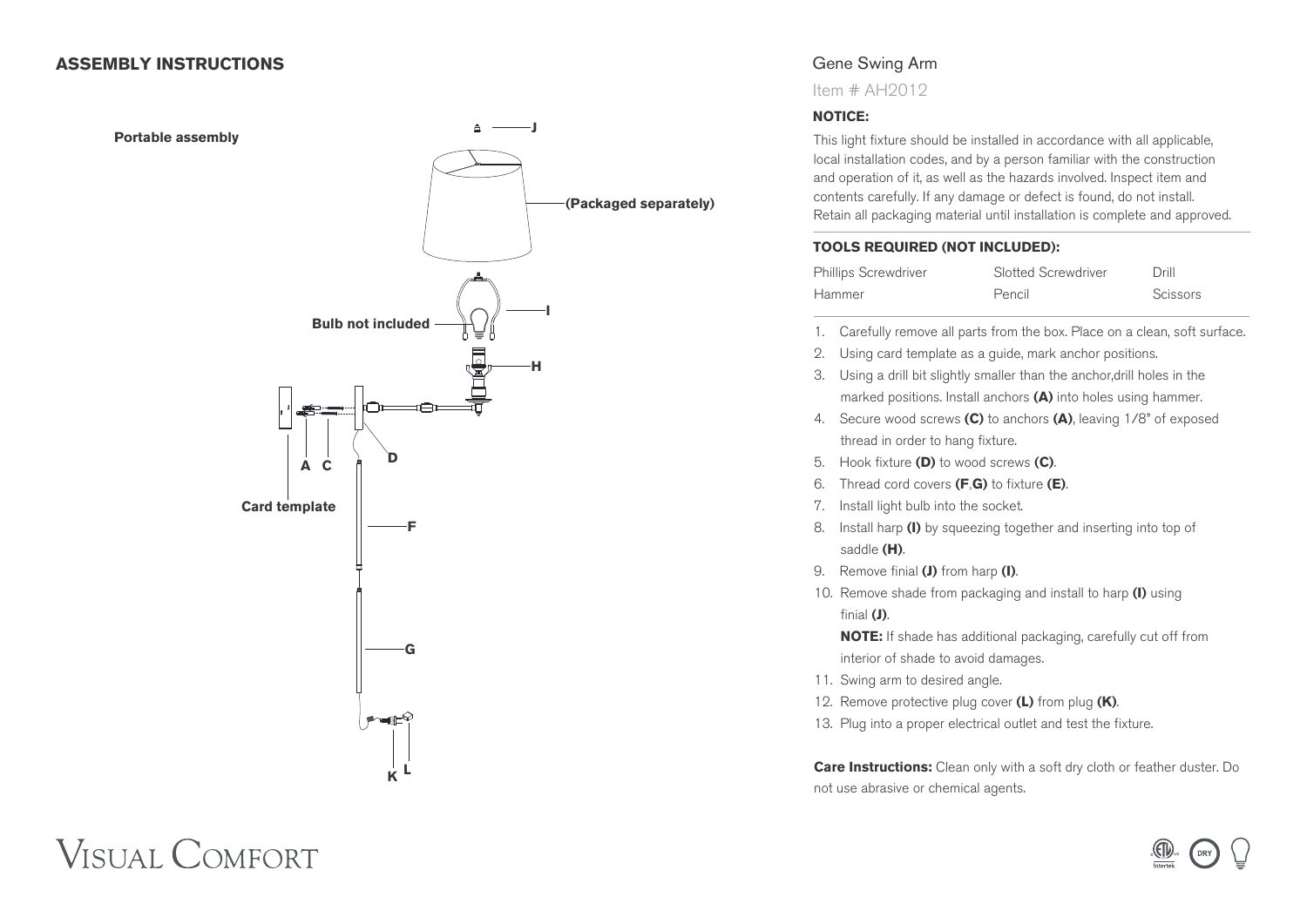#### **ASSEMBLY INSTRUCTIONS**



## Gene Swing Arm

Item # AH2012

#### **NOTICE:**

This light fixture should be installed in accordance with all applicable, local installation codes, and by a person familiar with the construction and operation of it, as well as the hazards involved. Inspect item and contents carefully. If any damage or defect is found, do not install. Retain all packaging material until installation is complete and approved.

#### **TOOLS REQUIRED (NOT INCLUDED):**

| <b>Phillips Screwdriver</b> | Slotted Screwdriver | Drill    |
|-----------------------------|---------------------|----------|
| Hammer                      | Pencil              | Scissors |

- 1. Carefully remove all parts from the box. Place on a clean, soft surface.
- 2. Using card template as a guide, mark anchor positions.
- 3. Using a drill bit slightly smaller than the anchor,drill holes in the marked positions. Install anchors **(A)** into holes using hammer.
- 4. Secure wood screws **(C)** to anchors **(A)**, leaving 1/8" of exposed thread in order to hang fixture.
- 5. Hook fixture **(D)** to wood screws **(C)**.
- 6. Thread cord covers **(F**,**G)** to fixture **(E)**.
- 7. Install light bulb into the socket.
- 8. Install harp **(I)** by squeezing together and inserting into top of saddle **(H)**.
- 9. Remove finial **(J)** from harp **(I)**.
- 10. Remove shade from packaging and install to harp **(I)** using finial **(J)**.

 **NOTE:** If shade has additional packaging, carefully cut off from interior of shade to avoid damages.

- 11. Swing arm to desired angle.
- 12. Remove protective plug cover **(L)** from plug **(K)**.
- 13. Plug into a proper electrical outlet and test the fixture.

**Care Instructions:** Clean only with a soft dry cloth or feather duster. Do not use abrasive or chemical agents.



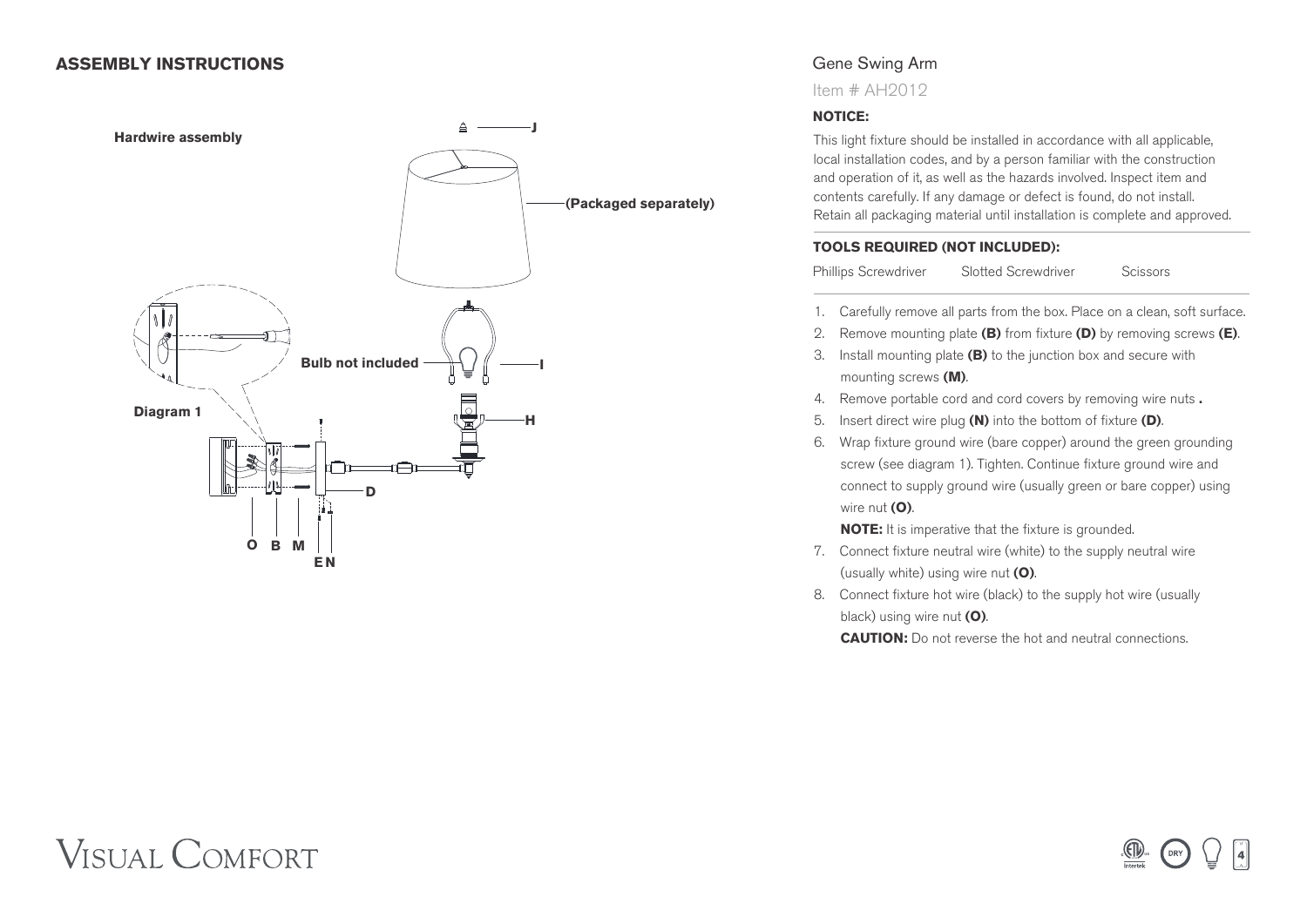#### **ASSEMBLY INSTRUCTIONS**



## Gene Swing Arm

Item # AH2012

#### **NOTICE:**

This light fixture should be installed in accordance with all applicable, local installation codes, and by a person familiar with the construction and operation of it, as well as the hazards involved. Inspect item and contents carefully. If any damage or defect is found, do not install. Retain all packaging material until installation is complete and approved.

#### **TOOLS REQUIRED (NOT INCLUDED):**

Phillips Screwdriver Slotted Screwdriver Scissors

- 
- 1. Carefully remove all parts from the box. Place on a clean, soft surface.
- 2. Remove mounting plate **(B)** from fixture **(D)** by removing screws **(E)**.
- 3. Install mounting plate **(B)** to the junction box and secure with mounting screws **(M)**.
- 4. Remove portable cord and cord covers by removing wire nuts **.**
- 5. Insert direct wire plug **(N)** into the bottom of fixture **(D)**.
- 6. Wrap fixture ground wire (bare copper) around the green grounding screw (see diagram 1). Tighten. Continue fixture ground wire and connect to supply ground wire (usually green or bare copper) using wire nut **(O)**.

**NOTE:** It is imperative that the fixture is grounded.

- 7. Connect fixture neutral wire (white) to the supply neutral wire (usually white) using wire nut **(O)**.
- 8. Connect fixture hot wire (black) to the supply hot wire (usually black) using wire nut **(O)**.

**CAUTION:** Do not reverse the hot and neutral connections.

# **VISUAL COMFORT**